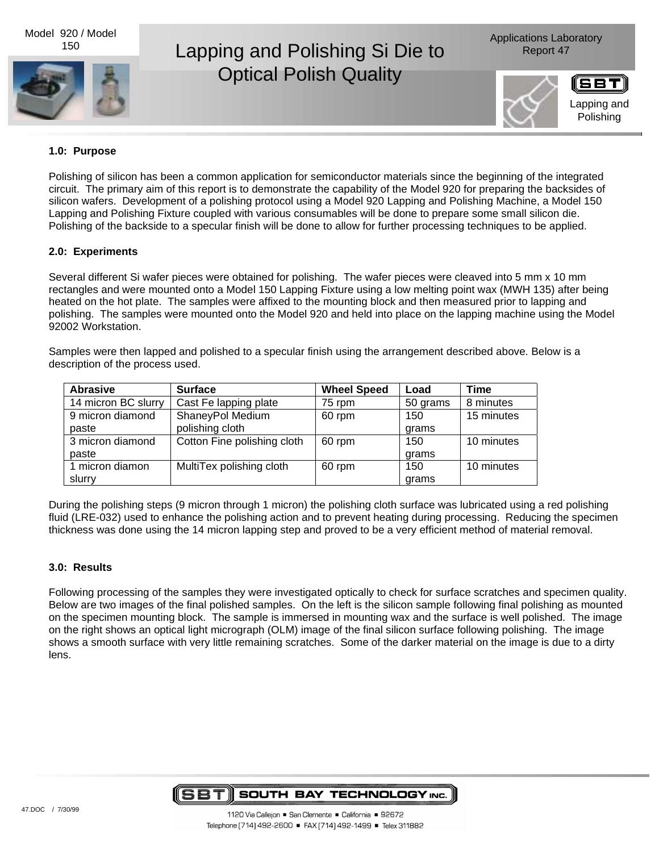Model 920 / Model 150



# Lapping and Polishing Si Die to Report 47 Optical Polish Quality

Applications Laboratory



## **1.0: Purpose**

Polishing of silicon has been a common application for semiconductor materials since the beginning of the integrated circuit. The primary aim of this report is to demonstrate the capability of the Model 920 for preparing the backsides of silicon wafers. Development of a polishing protocol using a Model 920 Lapping and Polishing Machine, a Model 150 Lapping and Polishing Fixture coupled with various consumables will be done to prepare some small silicon die. Polishing of the backside to a specular finish will be done to allow for further processing techniques to be applied.

#### **2.0: Experiments**

Several different Si wafer pieces were obtained for polishing. The wafer pieces were cleaved into 5 mm x 10 mm rectangles and were mounted onto a Model 150 Lapping Fixture using a low melting point wax (MWH 135) after being heated on the hot plate. The samples were affixed to the mounting block and then measured prior to lapping and polishing. The samples were mounted onto the Model 920 and held into place on the lapping machine using the Model 92002 Workstation.

Samples were then lapped and polished to a specular finish using the arrangement described above. Below is a description of the process used.

| <b>Abrasive</b>     | <b>Surface</b>              | <b>Wheel Speed</b> | Load     | <b>Time</b> |
|---------------------|-----------------------------|--------------------|----------|-------------|
| 14 micron BC slurry | Cast Fe lapping plate       | 75 rpm             | 50 grams | 8 minutes   |
| 9 micron diamond    | ShaneyPol Medium            | 60 rpm             | 150      | 15 minutes  |
| paste               | polishing cloth             |                    | arams    |             |
| 3 micron diamond    | Cotton Fine polishing cloth | 60 rpm             | 150      | 10 minutes  |
| paste               |                             |                    | arams    |             |
| 1 micron diamon     | MultiTex polishing cloth    | 60 rpm             | 150      | 10 minutes  |
| slurry              |                             |                    | grams    |             |

During the polishing steps (9 micron through 1 micron) the polishing cloth surface was lubricated using a red polishing fluid (LRE-032) used to enhance the polishing action and to prevent heating during processing. Reducing the specimen thickness was done using the 14 micron lapping step and proved to be a very efficient method of material removal.

### **3.0: Results**

Following processing of the samples they were investigated optically to check for surface scratches and specimen quality. Below are two images of the final polished samples. On the left is the silicon sample following final polishing as mounted on the specimen mounting block. The sample is immersed in mounting wax and the surface is well polished. The image on the right shows an optical light micrograph (OLM) image of the final silicon surface following polishing. The image shows a smooth surface with very little remaining scratches. Some of the darker material on the image is due to a dirty lens.